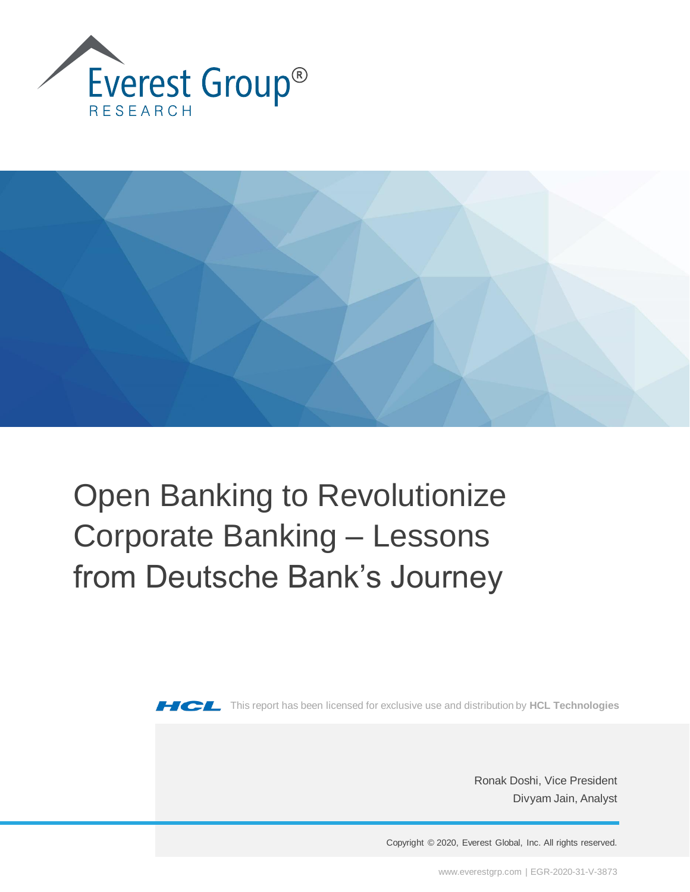



# Open Banking to Revolutionize Corporate Banking – Lessons from Deutsche Bank's Journey



**THICH** This report has been licensed for exclusive use and distribution by HCL Technologies

Ronak Doshi, Vice President Divyam Jain, Analyst

Copyright © 2020, Everest Global, Inc. All rights reserved.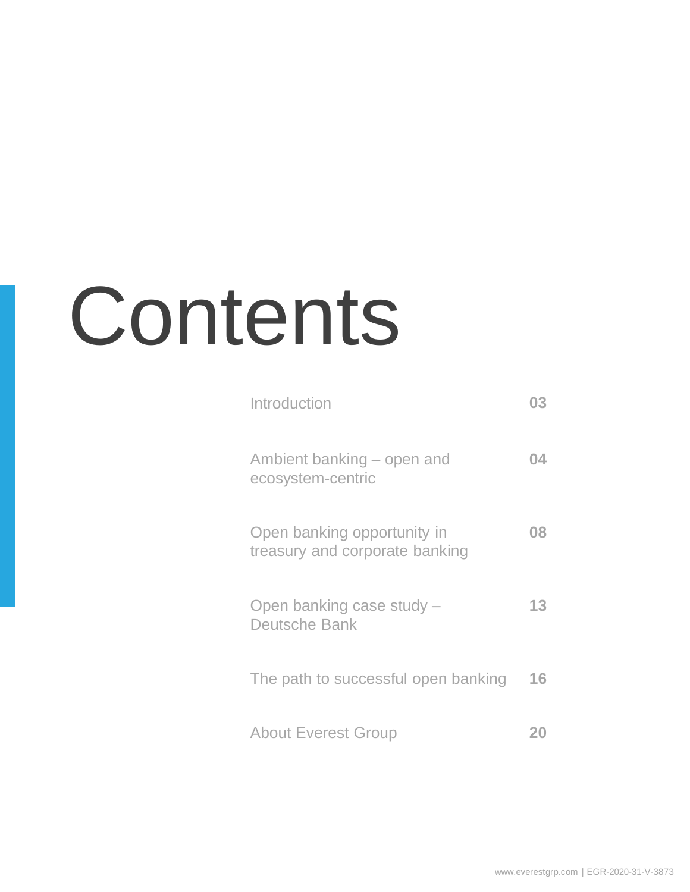# Contents

| Introduction                                                  |    |
|---------------------------------------------------------------|----|
| Ambient banking – open and<br>ecosystem-centric               |    |
| Open banking opportunity in<br>treasury and corporate banking | OX |
| Open banking case study -<br><b>Deutsche Bank</b>             | 13 |
| The path to successful open banking                           | 16 |
| <b>About Everest Group</b>                                    |    |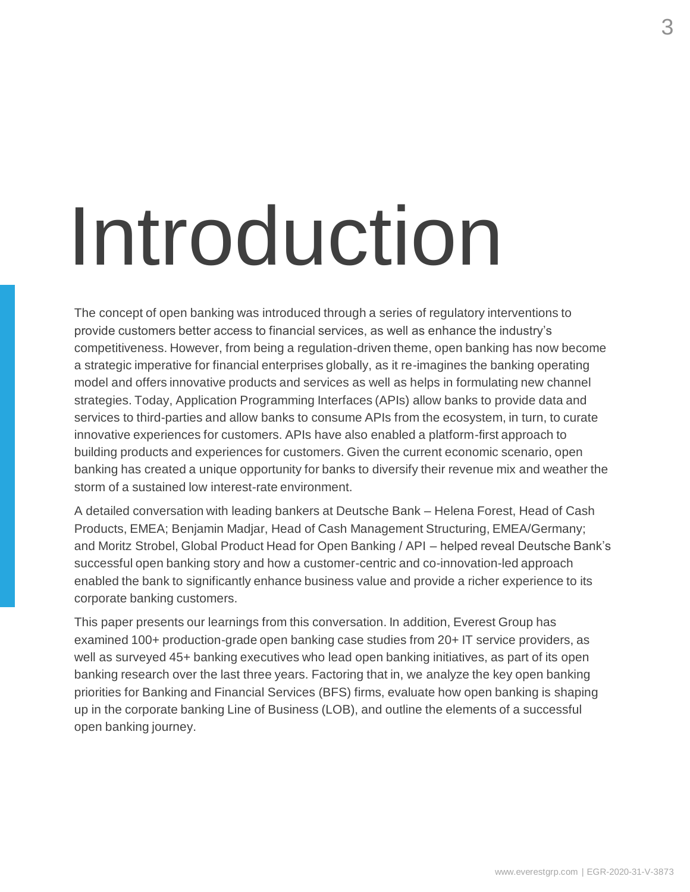# Introduction

The concept of open banking was introduced through a series of regulatory interventions to provide customers better access to financial services, as well as enhance the industry's competitiveness. However, from being a regulation-driven theme, open banking has now become a strategic imperative for financial enterprises globally, as it re-imagines the banking operating model and offers innovative products and services as well as helps in formulating new channel strategies. Today, Application Programming Interfaces (APIs) allow banks to provide data and services to third-parties and allow banks to consume APIs from the ecosystem, in turn, to curate innovative experiences for customers. APIs have also enabled a platform-first approach to building products and experiences for customers. Given the current economic scenario, open banking has created a unique opportunity for banks to diversify their revenue mix and weather the storm of a sustained low interest-rate environment.

A detailed conversation with leading bankers at Deutsche Bank – Helena Forest, Head of Cash Products, EMEA; Benjamin Madjar, Head of Cash Management Structuring, EMEA/Germany; and Moritz Strobel, Global Product Head for Open Banking / API – helped reveal Deutsche Bank's successful open banking story and how a customer-centric and co-innovation-led approach enabled the bank to significantly enhance business value and provide a richer experience to its corporate banking customers.

This paper presents our learnings from this conversation. In addition, Everest Group has examined 100+ production-grade open banking case studies from 20+ IT service providers, as well as surveyed 45+ banking executives who lead open banking initiatives, as part of its open banking research over the last three years. Factoring that in, we analyze the key open banking priorities for Banking and Financial Services (BFS) firms, evaluate how open banking is shaping up in the corporate banking Line of Business (LOB), and outline the elements of a successful open banking journey.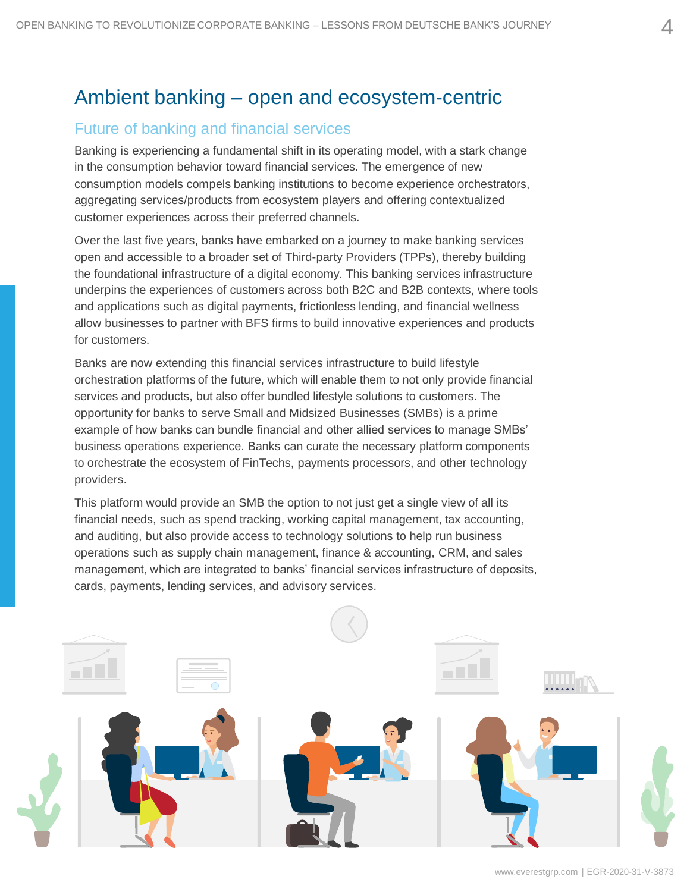## Ambient banking – open and ecosystem-centric

## Future of banking and financial services

Banking is experiencing a fundamental shift in its operating model, with a stark change in the consumption behavior toward financial services. The emergence of new consumption models compels banking institutions to become experience orchestrators, aggregating services/products from ecosystem players and offering contextualized customer experiences across their preferred channels.

Over the last five years, banks have embarked on a journey to make banking services open and accessible to a broader set of Third-party Providers (TPPs), thereby building the foundational infrastructure of a digital economy. This banking services infrastructure underpins the experiences of customers across both B2C and B2B contexts, where tools and applications such as digital payments, frictionless lending, and financial wellness allow businesses to partner with BFS firms to build innovative experiences and products for customers.

Banks are now extending this financial services infrastructure to build lifestyle orchestration platforms of the future, which will enable them to not only provide financial services and products, but also offer bundled lifestyle solutions to customers. The opportunity for banks to serve Small and Midsized Businesses (SMBs) is a prime example of how banks can bundle financial and other allied services to manage SMBs' business operations experience. Banks can curate the necessary platform components to orchestrate the ecosystem of FinTechs, payments processors, and other technology providers.

This platform would provide an SMB the option to not just get a single view of all its financial needs, such as spend tracking, working capital management, tax accounting, and auditing, but also provide access to technology solutions to help run business operations such as supply chain management, finance & accounting, CRM, and sales management, which are integrated to banks' financial services infrastructure of deposits, cards, payments, lending services, and advisory services.

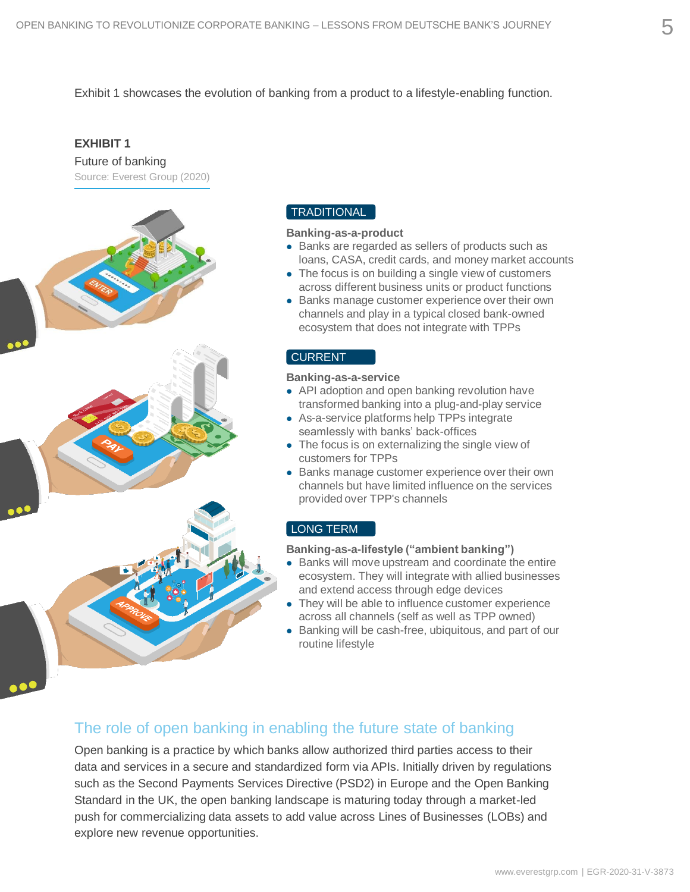Exhibit 1 showcases the evolution of banking from a product to a lifestyle-enabling function.

#### **EXHIBIT 1**

Future of banking Source: Everest Group (2020)



#### TRADITIONAL

#### **Banking-as-a-product**

- Banks are regarded as sellers of products such as loans, CASA, credit cards, and money market accounts
- ⚫ The focus is on building a single view of customers across different business units or product functions
- Banks manage customer experience over their own channels and play in a typical closed bank-owned ecosystem that does not integrate with TPPs

#### CURRENT

#### **Banking-as-a-service**

- API adoption and open banking revolution have transformed banking into a plug-and-play service
- ⚫ As-a-service platforms help TPPs integrate seamlessly with banks' back-offices
- ⚫ The focus is on externalizing the single view of customers for TPPs
- Banks manage customer experience over their own channels but have limited influence on the services provided over TPP's channels

#### LONG TERM

#### **Banking-as-a-lifestyle ("ambient banking")**

- ⚫ Banks will move upstream and coordinate the entire ecosystem. They will integrate with allied businesses and extend access through edge devices
- ⚫ They will be able to influence customer experience across all channels (self as well as TPP owned)
- ⚫ Banking will be cash-free, ubiquitous, and part of our routine lifestyle

#### The role of open banking in enabling the future state of banking

Open banking is a practice by which banks allow authorized third parties access to their data and services in a secure and standardized form via APIs. Initially driven by regulations such as the Second Payments Services Directive (PSD2) in Europe and the Open Banking Standard in the UK, the open banking landscape is maturing today through a market-led push for commercializing data assets to add value across Lines of Businesses (LOBs) and explore new revenue opportunities.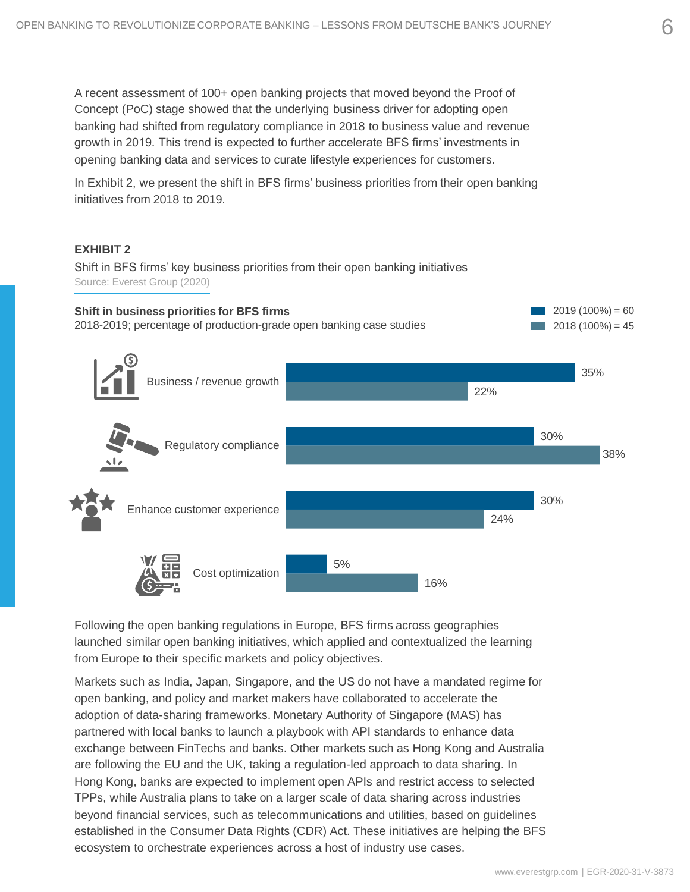A recent assessment of 100+ open banking projects that moved beyond the Proof of Concept (PoC) stage showed that the underlying business driver for adopting open banking had shifted from regulatory compliance in 2018 to business value and revenue growth in 2019. This trend is expected to further accelerate BFS firms' investments in opening banking data and services to curate lifestyle experiences for customers.

In Exhibit 2, we present the shift in BFS firms' business priorities from their open banking initiatives from 2018 to 2019.

#### **EXHIBIT 2**

Shift in BFS firms' key business priorities from their open banking initiatives Source: Everest Group (2020)



Following the open banking regulations in Europe, BFS firms across geographies launched similar open banking initiatives, which applied and contextualized the learning from Europe to their specific markets and policy objectives.

Markets such as India, Japan, Singapore, and the US do not have a mandated regime for open banking, and policy and market makers have collaborated to accelerate the adoption of data-sharing frameworks. Monetary Authority of Singapore (MAS) has partnered with local banks to launch a playbook with API standards to enhance data exchange between FinTechs and banks. Other markets such as Hong Kong and Australia are following the EU and the UK, taking a regulation-led approach to data sharing. In Hong Kong, banks are expected to implement open APIs and restrict access to selected TPPs, while Australia plans to take on a larger scale of data sharing across industries beyond financial services, such as telecommunications and utilities, based on guidelines established in the Consumer Data Rights (CDR) Act. These initiatives are helping the BFS ecosystem to orchestrate experiences across a host of industry use cases.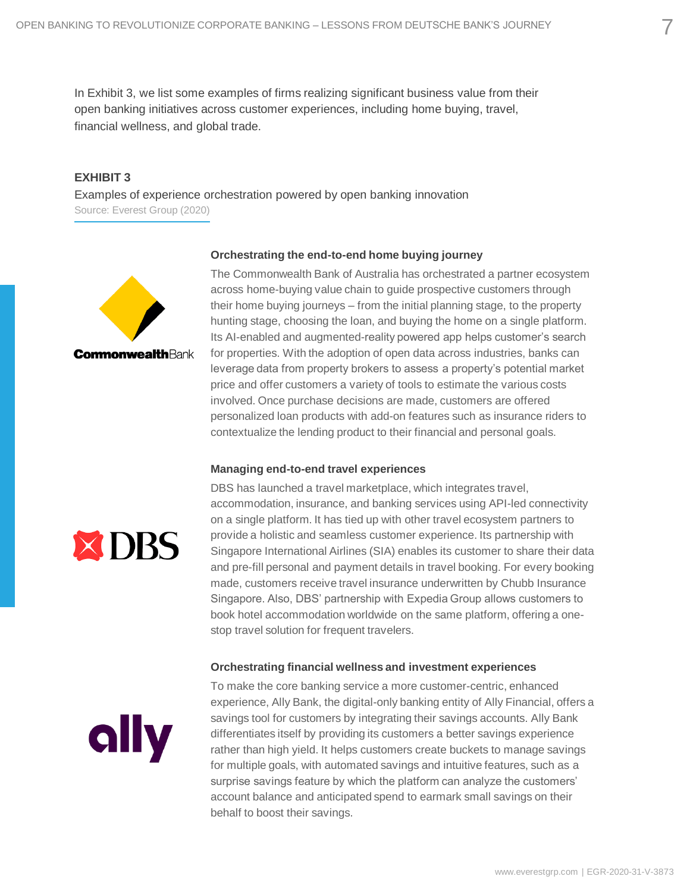In Exhibit 3, we list some examples of firms realizing significant business value from their open banking initiatives across customer experiences, including home buying, travel, financial wellness, and global trade.

#### **EXHIBIT 3**

Examples of experience orchestration powered by open banking innovation Source: Everest Group (2020)



#### **Orchestrating the end-to-end home buying journey**

The Commonwealth Bank of Australia has orchestrated a partner ecosystem across home-buying value chain to guide prospective customers through their home buying journeys – from the initial planning stage, to the property hunting stage, choosing the loan, and buying the home on a single platform. Its AI-enabled and augmented-reality powered app helps customer's search for properties. With the adoption of open data across industries, banks can leverage data from property brokers to assess a property's potential market price and offer customers a variety of tools to estimate the various costs involved. Once purchase decisions are made, customers are offered personalized loan products with add-on features such as insurance riders to contextualize the lending product to their financial and personal goals.

#### **Managing end-to-end travel experiences**



DBS has launched a travel marketplace, which integrates travel, accommodation, insurance, and banking services using API-led connectivity on a single platform. It has tied up with other travel ecosystem partners to provide a holistic and seamless customer experience. Its partnership with Singapore International Airlines (SIA) enables its customer to share their data and pre-fill personal and payment details in travel booking. For every booking made, customers receive travel insurance underwritten by Chubb Insurance Singapore. Also, DBS' partnership with Expedia Group allows customers to book hotel accommodation worldwide on the same platform, offering a onestop travel solution for frequent travelers.

#### **Orchestrating financial wellness and investment experiences**



To make the core banking service a more customer-centric, enhanced experience, Ally Bank, the digital-only banking entity of Ally Financial, offers a savings tool for customers by integrating their savings accounts. Ally Bank differentiates itself by providing its customers a better savings experience rather than high yield. It helps customers create buckets to manage savings for multiple goals, with automated savings and intuitive features, such as a surprise savings feature by which the platform can analyze the customers' account balance and anticipated spend to earmark small savings on their behalf to boost their savings.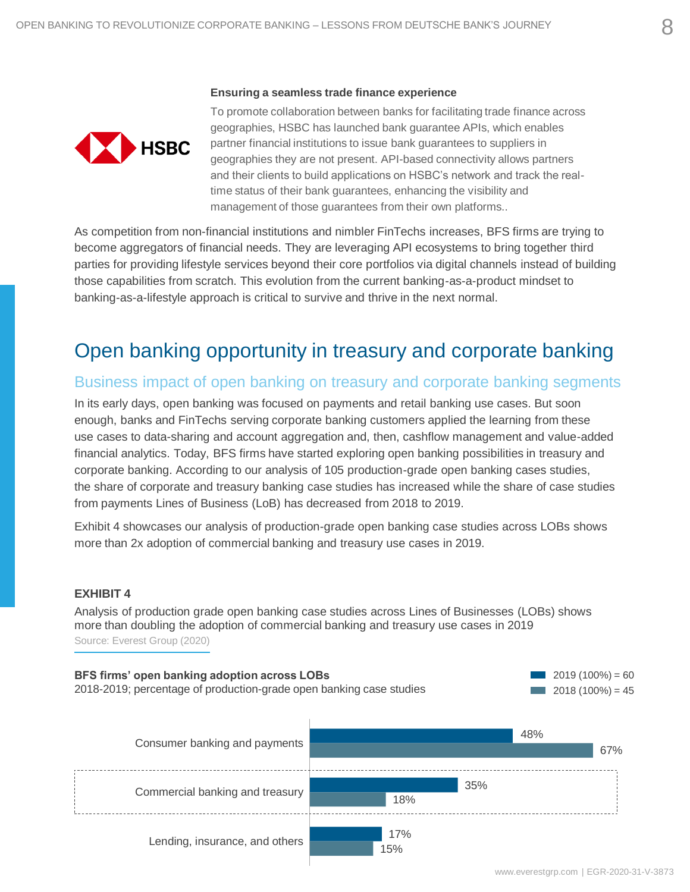#### **Ensuring a seamless trade finance experience**



To promote collaboration between banks for facilitating trade finance across geographies, HSBC has launched bank guarantee APIs, which enables partner financial institutions to issue bank guarantees to suppliers in geographies they are not present. API-based connectivity allows partners and their clients to build applications on HSBC's network and track the realtime status of their bank guarantees, enhancing the visibility and management of those guarantees from their own platforms..

As competition from non-financial institutions and nimbler FinTechs increases, BFS firms are trying to become aggregators of financial needs. They are leveraging API ecosystems to bring together third parties for providing lifestyle services beyond their core portfolios via digital channels instead of building those capabilities from scratch. This evolution from the current banking-as-a-product mindset to banking-as-a-lifestyle approach is critical to survive and thrive in the next normal.

## Open banking opportunity in treasury and corporate banking

### Business impact of open banking on treasury and corporate banking segments

In its early days, open banking was focused on payments and retail banking use cases. But soon enough, banks and FinTechs serving corporate banking customers applied the learning from these use cases to data-sharing and account aggregation and, then, cashflow management and value-added financial analytics. Today, BFS firms have started exploring open banking possibilities in treasury and corporate banking. According to our analysis of 105 production-grade open banking cases studies, the share of corporate and treasury banking case studies has increased while the share of case studies from payments Lines of Business (LoB) has decreased from 2018 to 2019.

Exhibit 4 showcases our analysis of production-grade open banking case studies across LOBs shows more than 2x adoption of commercial banking and treasury use cases in 2019.

#### **EXHIBIT 4**

Analysis of production grade open banking case studies across Lines of Businesses (LOBs) shows more than doubling the adoption of commercial banking and treasury use cases in 2019 Source: Everest Group (2020)

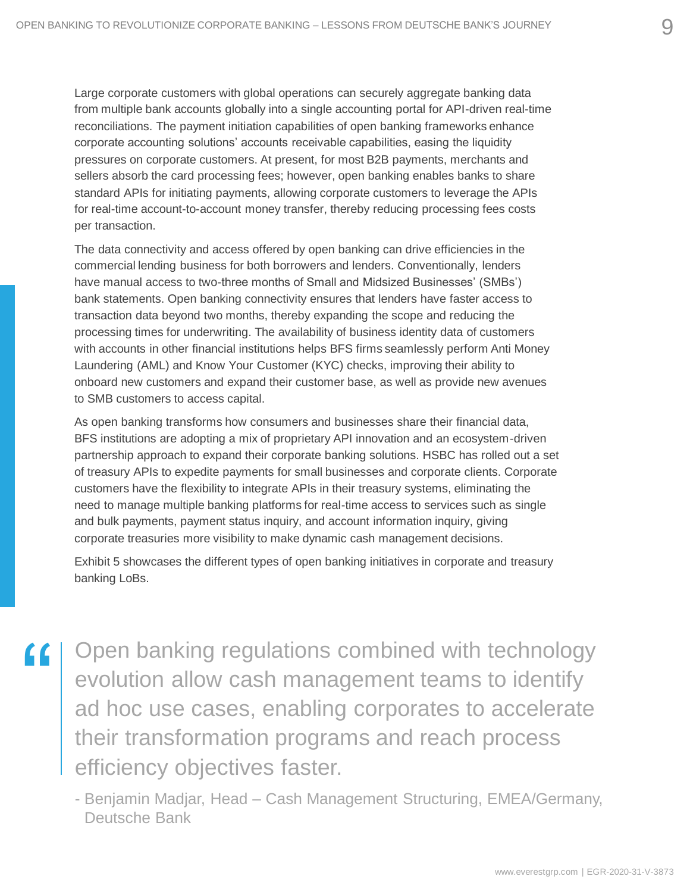Large corporate customers with global operations can securely aggregate banking data from multiple bank accounts globally into a single accounting portal for API-driven real-time reconciliations. The payment initiation capabilities of open banking frameworks enhance corporate accounting solutions' accounts receivable capabilities, easing the liquidity pressures on corporate customers. At present, for most B2B payments, merchants and sellers absorb the card processing fees; however, open banking enables banks to share standard APIs for initiating payments, allowing corporate customers to leverage the APIs for real-time account-to-account money transfer, thereby reducing processing fees costs per transaction.

The data connectivity and access offered by open banking can drive efficiencies in the commercial lending business for both borrowers and lenders. Conventionally, lenders have manual access to two-three months of Small and Midsized Businesses' (SMBs') bank statements. Open banking connectivity ensures that lenders have faster access to transaction data beyond two months, thereby expanding the scope and reducing the processing times for underwriting. The availability of business identity data of customers with accounts in other financial institutions helps BFS firms seamlessly perform Anti Money Laundering (AML) and Know Your Customer (KYC) checks, improving their ability to onboard new customers and expand their customer base, as well as provide new avenues to SMB customers to access capital.

As open banking transforms how consumers and businesses share their financial data, BFS institutions are adopting a mix of proprietary API innovation and an ecosystem-driven partnership approach to expand their corporate banking solutions. HSBC has rolled out a set of treasury APIs to expedite payments for small businesses and corporate clients. Corporate customers have the flexibility to integrate APIs in their treasury systems, eliminating the need to manage multiple banking platforms for real-time access to services such as single and bulk payments, payment status inquiry, and account information inquiry, giving corporate treasuries more visibility to make dynamic cash management decisions.

Exhibit 5 showcases the different types of open banking initiatives in corporate and treasury banking LoBs.

Copen banking regulations combined with technology<br>
evolution allow cash management teams to identify<br>
ad hoc use cases, enabling corporates to accelerate evolution allow cash management teams to identify ad hoc use cases, enabling corporates to accelerate their transformation programs and reach process efficiency objectives faster.

- Benjamin Madjar, Head – Cash Management Structuring, EMEA/Germany, Deutsche Bank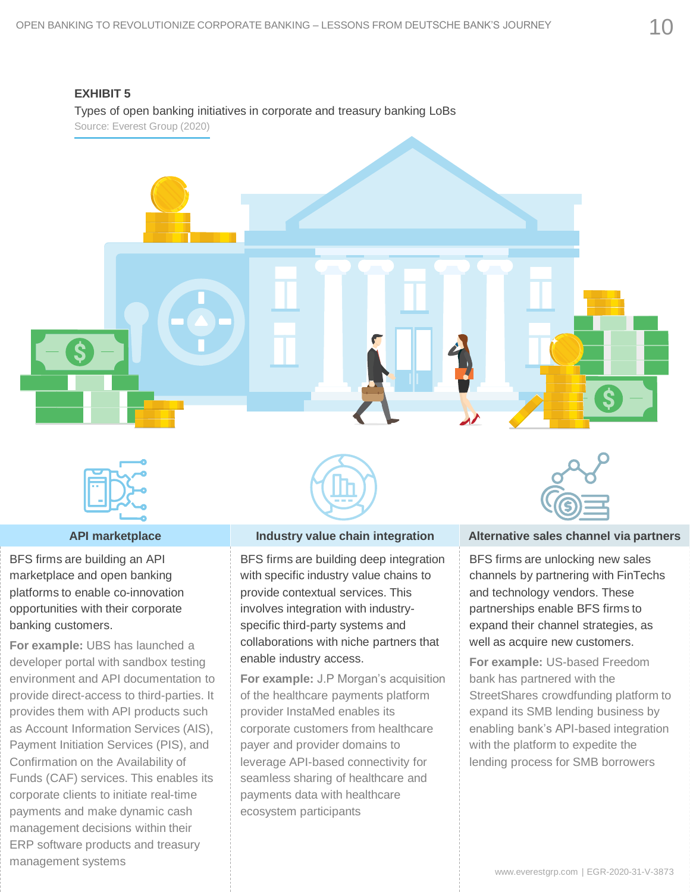#### **EXHIBIT 5**

Types of open banking initiatives in corporate and treasury banking LoBs

Source: Everest Group (2020)



BFS firms are building an API marketplace and open banking platforms to enable co-innovation opportunities with their corporate banking customers.

**For example:** UBS has launched a developer portal with sandbox testing environment and API documentation to provide direct-access to third-parties. It provides them with API products such as Account Information Services (AIS), Payment Initiation Services (PIS), and Confirmation on the Availability of Funds (CAF) services. This enables its corporate clients to initiate real-time payments and make dynamic cash management decisions within their ERP software products and treasury management systems



BFS firms are building deep integration with specific industry value chains to provide contextual services. This involves integration with industryspecific third-party systems and collaborations with niche partners that enable industry access.

**For example:** J.P Morgan's acquisition of the healthcare payments platform provider InstaMed enables its corporate customers from healthcare payer and provider domains to leverage API-based connectivity for seamless sharing of healthcare and payments data with healthcare ecosystem participants



#### **API marketplace Industry value chain integration Alternative sales channel via partners**

BFS firms are unlocking new sales channels by partnering with FinTechs and technology vendors. These partnerships enable BFS firms to expand their channel strategies, as well as acquire new customers.

**For example:** US-based Freedom bank has partnered with the StreetShares crowdfunding platform to expand its SMB lending business by enabling bank's API-based integration with the platform to expedite the lending process for SMB borrowers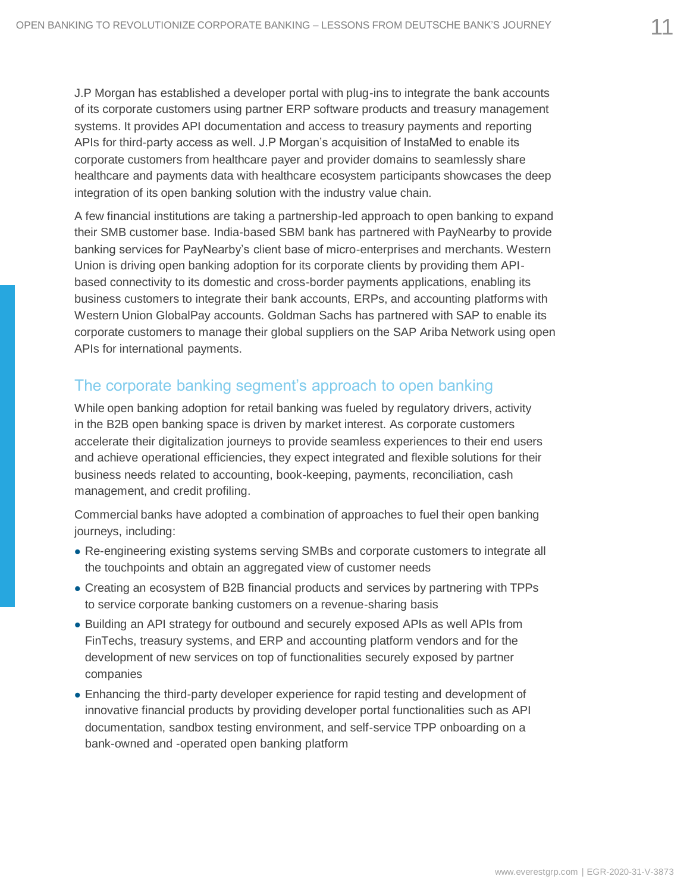J.P Morgan has established a developer portal with plug-ins to integrate the bank accounts of its corporate customers using partner ERP software products and treasury management systems. It provides API documentation and access to treasury payments and reporting APIs for third-party access as well. J.P Morgan's acquisition of InstaMed to enable its corporate customers from healthcare payer and provider domains to seamlessly share healthcare and payments data with healthcare ecosystem participants showcases the deep integration of its open banking solution with the industry value chain.

A few financial institutions are taking a partnership-led approach to open banking to expand their SMB customer base. India-based SBM bank has partnered with PayNearby to provide banking services for PayNearby's client base of micro-enterprises and merchants. Western Union is driving open banking adoption for its corporate clients by providing them APIbased connectivity to its domestic and cross-border payments applications, enabling its business customers to integrate their bank accounts, ERPs, and accounting platforms with Western Union GlobalPay accounts. Goldman Sachs has partnered with SAP to enable its corporate customers to manage their global suppliers on the SAP Ariba Network using open APIs for international payments.

## The corporate banking segment's approach to open banking

While open banking adoption for retail banking was fueled by regulatory drivers, activity in the B2B open banking space is driven by market interest. As corporate customers accelerate their digitalization journeys to provide seamless experiences to their end users and achieve operational efficiencies, they expect integrated and flexible solutions for their business needs related to accounting, book-keeping, payments, reconciliation, cash management, and credit profiling.

Commercial banks have adopted a combination of approaches to fuel their open banking journeys, including:

- ⚫ Re-engineering existing systems serving SMBs and corporate customers to integrate all the touchpoints and obtain an aggregated view of customer needs
- ⚫ Creating an ecosystem of B2B financial products and services by partnering with TPPs to service corporate banking customers on a revenue-sharing basis
- ⚫ Building an API strategy for outbound and securely exposed APIs as well APIs from FinTechs, treasury systems, and ERP and accounting platform vendors and for the development of new services on top of functionalities securely exposed by partner companies
- ⚫ Enhancing the third-party developer experience for rapid testing and development of innovative financial products by providing developer portal functionalities such as API documentation, sandbox testing environment, and self-service TPP onboarding on a bank-owned and -operated open banking platform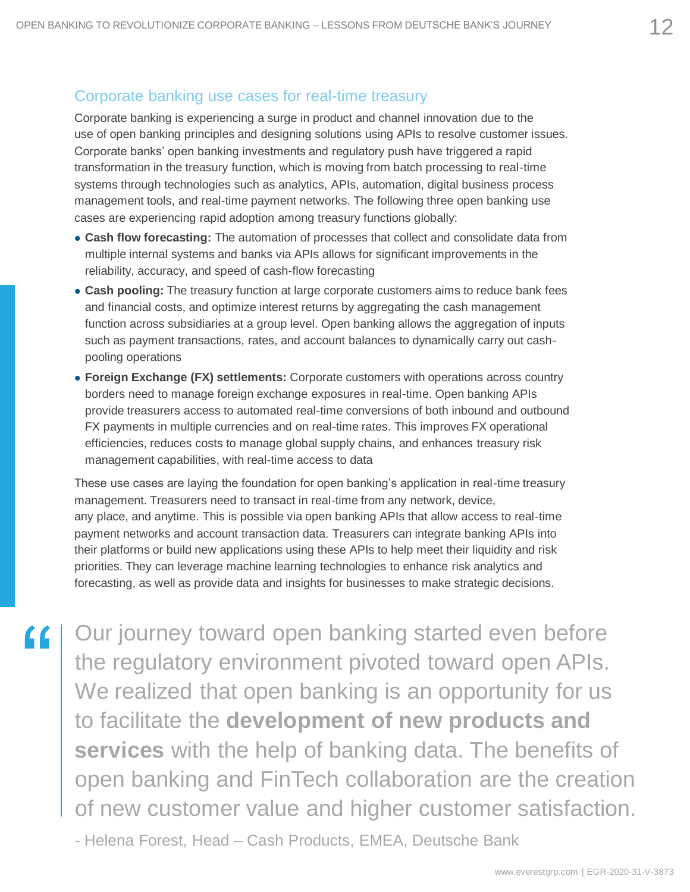### Corporate banking use cases for real-time treasury

Corporate banking is experiencing a surge in product and channel innovation due to the use of open banking principles and designing solutions using APIs to resolve customer issues. Corporate banks' open banking investments and regulatory push have triggered a rapid transformation in the treasury function, which is moving from batch processing to real-time systems through technologies such as analytics, APIs, automation, digital business process management tools, and real-time payment networks. The following three open banking use cases are experiencing rapid adoption among treasury functions globally:

- ⚫ **Cash flow forecasting:** The automation of processes that collect and consolidate data from multiple internal systems and banks via APIs allows for significant improvements in the reliability, accuracy, and speed of cash-flow forecasting
- ⚫ **Cash pooling:** The treasury function at large corporate customers aims to reduce bank fees and financial costs, and optimize interest returns by aggregating the cash management function across subsidiaries at a group level. Open banking allows the aggregation of inputs such as payment transactions, rates, and account balances to dynamically carry out cashpooling operations
- ⚫ **Foreign Exchange (FX) settlements:** Corporate customers with operations across country borders need to manage foreign exchange exposures in real-time. Open banking APIs provide treasurers access to automated real-time conversions of both inbound and outbound FX payments in multiple currencies and on real-time rates. This improves FX operational efficiencies, reduces costs to manage global supply chains, and enhances treasury risk management capabilities, with real-time access to data

These use cases are laying the foundation for open banking's application in real-time treasury management. Treasurers need to transact in real-time from any network, device, any place, and anytime. This is possible via open banking APIs that allow access to real-time payment networks and account transaction data. Treasurers can integrate banking APIs into their platforms or build new applications using these APIs to help meet their liquidity and risk priorities. They can leverage machine learning technologies to enhance risk analytics and forecasting, as well as provide data and insights for businesses to make strategic decisions.

Our journey toward open banking started even before the regulatory environment pivoted toward open APIs. We realized that open banking is an opportunity for us to facilitate the **development of new products and services** with the help of banking data. The benefits of open banking and FinTech collaboration are the creation of new customer value and higher customer satisfaction.

- Helena Forest, Head – Cash Products, EMEA, Deutsche Bank

 $\epsilon$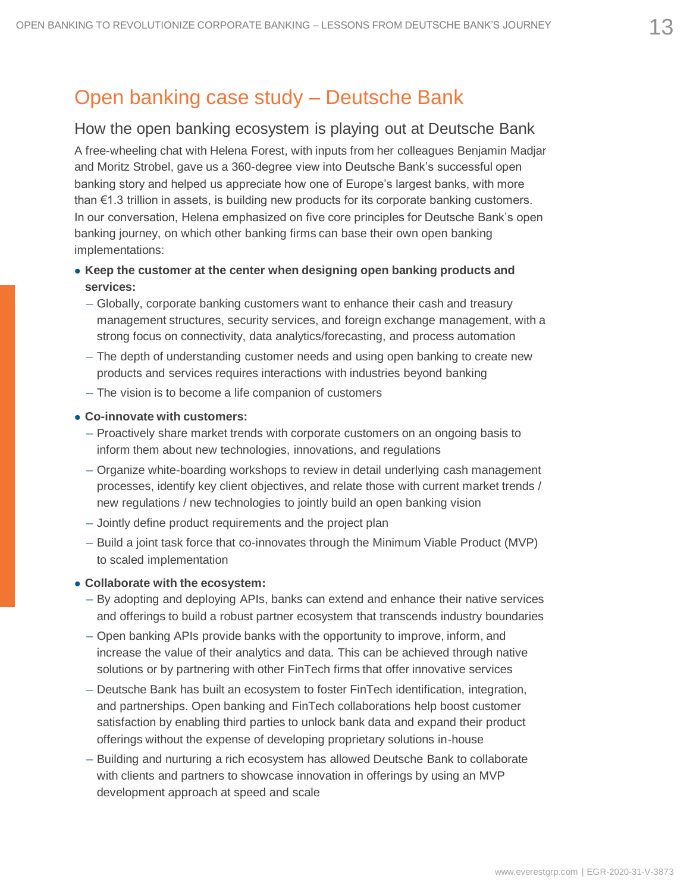## Open banking case study – Deutsche Bank

#### How the open banking ecosystem is playing out at Deutsche Bank

A free-wheeling chat with Helena Forest, with inputs from her colleagues Benjamin Madjar and Moritz Strobel, gave us a 360-degree view into Deutsche Bank's successful open banking story and helped us appreciate how one of Europe's largest banks, with more than €1.3 trillion in assets, is building new products for its corporate banking customers. In our conversation, Helena emphasized on five core principles for Deutsche Bank's open banking journey, on which other banking firms can base their own open banking implementations:

#### ⚫ **Keep the customer at the center when designing open banking products and services:**

- Globally, corporate banking customers want to enhance their cash and treasury management structures, security services, and foreign exchange management, with a strong focus on connectivity, data analytics/forecasting, and process automation
- The depth of understanding customer needs and using open banking to create new products and services requires interactions with industries beyond banking
- The vision is to become a life companion of customers

#### ⚫ **Co-innovate with customers:**

- Proactively share market trends with corporate customers on an ongoing basis to inform them about new technologies, innovations, and regulations
- Organize white-boarding workshops to review in detail underlying cash management processes, identify key client objectives, and relate those with current market trends / new regulations / new technologies to jointly build an open banking vision
- Jointly define product requirements and the project plan
- Build a joint task force that co-innovates through the Minimum Viable Product (MVP) to scaled implementation

#### ⚫ **Collaborate with the ecosystem:**

- By adopting and deploying APIs, banks can extend and enhance their native services and offerings to build a robust partner ecosystem that transcends industry boundaries
- Open banking APIs provide banks with the opportunity to improve, inform, and increase the value of their analytics and data. This can be achieved through native solutions or by partnering with other FinTech firms that offer innovative services
- Deutsche Bank has built an ecosystem to foster FinTech identification, integration, and partnerships. Open banking and FinTech collaborations help boost customer satisfaction by enabling third parties to unlock bank data and expand their product offerings without the expense of developing proprietary solutions in-house
- Building and nurturing a rich ecosystem has allowed Deutsche Bank to collaborate with clients and partners to showcase innovation in offerings by using an MVP development approach at speed and scale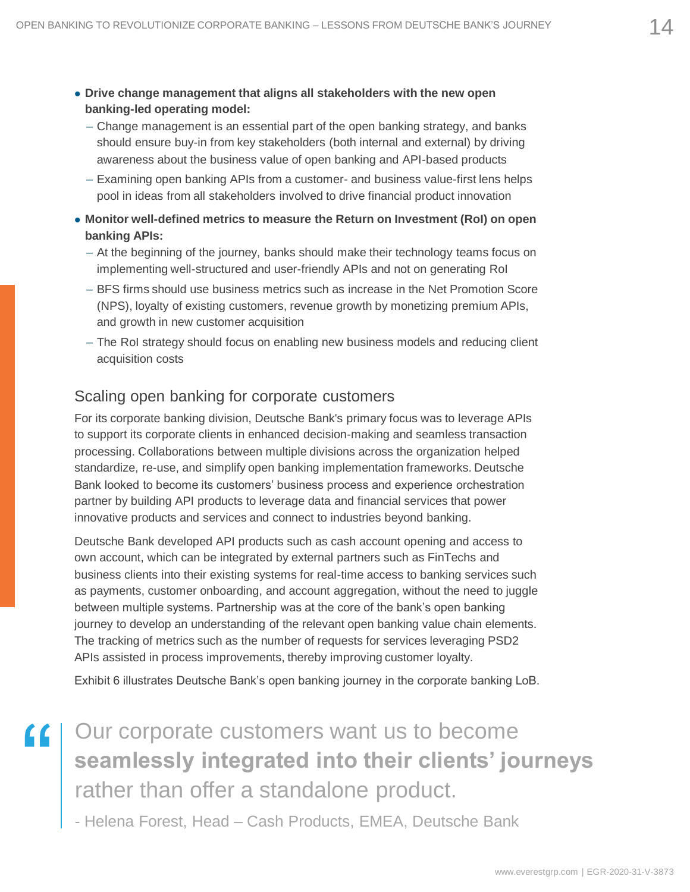- ⚫ **Drive change management that aligns all stakeholders with the new open banking-led operating model:**
	- Change management is an essential part of the open banking strategy, and banks should ensure buy-in from key stakeholders (both internal and external) by driving awareness about the business value of open banking and API-based products
	- Examining open banking APIs from a customer- and business value-first lens helps pool in ideas from all stakeholders involved to drive financial product innovation
- ⚫ **Monitor well-defined metrics to measure the Return on Investment (RoI) on open banking APIs:**
	- At the beginning of the journey, banks should make their technology teams focus on implementing well-structured and user-friendly APIs and not on generating RoI
	- BFS firms should use business metrics such as increase in the Net Promotion Score (NPS), loyalty of existing customers, revenue growth by monetizing premium APIs, and growth in new customer acquisition
	- The RoI strategy should focus on enabling new business models and reducing client acquisition costs

#### Scaling open banking for corporate customers

For its corporate banking division, Deutsche Bank's primary focus was to leverage APIs to support its corporate clients in enhanced decision-making and seamless transaction processing. Collaborations between multiple divisions across the organization helped standardize, re-use, and simplify open banking implementation frameworks. Deutsche Bank looked to become its customers' business process and experience orchestration partner by building API products to leverage data and financial services that power innovative products and services and connect to industries beyond banking.

Deutsche Bank developed API products such as cash account opening and access to own account, which can be integrated by external partners such as FinTechs and business clients into their existing systems for real-time access to banking services such as payments, customer onboarding, and account aggregation, without the need to juggle between multiple systems. Partnership was at the core of the bank's open banking journey to develop an understanding of the relevant open banking value chain elements. The tracking of metrics such as the number of requests for services leveraging PSD2 APIs assisted in process improvements, thereby improving customer loyalty.

Exhibit 6 illustrates Deutsche Bank's open banking journey in the corporate banking LoB.

"

Our corporate customers want us to become **seamlessly integrated into their clients' journeys**  rather than offer a standalone product.

- Helena Forest, Head – Cash Products, EMEA, Deutsche Bank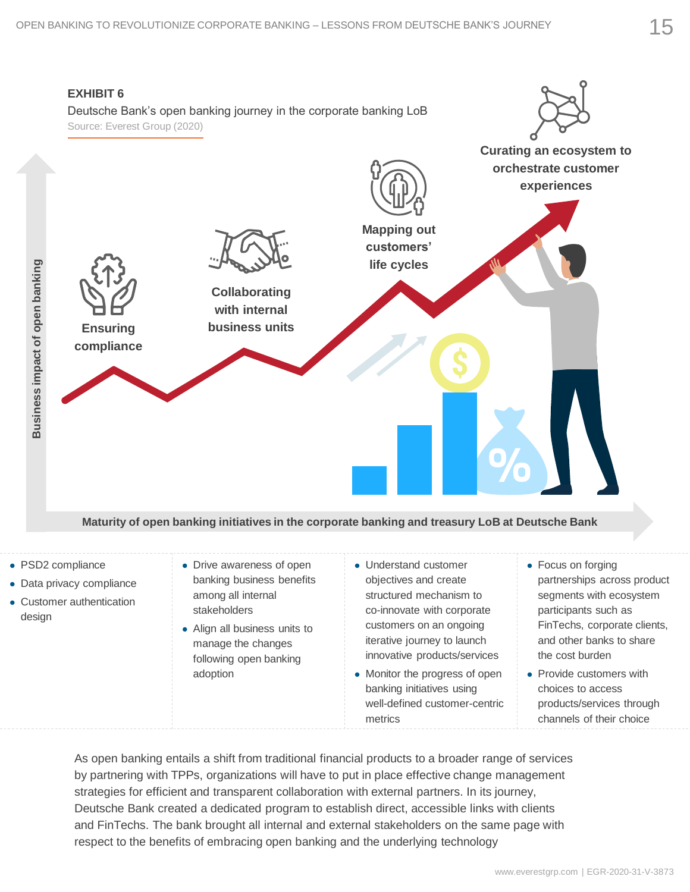

#### **Maturity of open banking initiatives in the corporate banking and treasury LoB at Deutsche Bank**

- ⚫ PSD2 compliance
- ⚫ Data privacy compliance
- ⚫ Customer authentication design
- Drive awareness of open banking business benefits among all internal stakeholders
- ⚫ Align all business units to manage the changes following open banking adoption
- ⚫ Understand customer objectives and create structured mechanism to co-innovate with corporate customers on an ongoing iterative journey to launch innovative products/services
- ⚫ Monitor the progress of open banking initiatives using well-defined customer-centric metrics
- Focus on forging partnerships across product segments with ecosystem participants such as FinTechs, corporate clients, and other banks to share the cost burden
- Provide customers with choices to access products/services through channels of their choice

As open banking entails a shift from traditional financial products to a broader range of services by partnering with TPPs, organizations will have to put in place effective change management strategies for efficient and transparent collaboration with external partners. In its journey, Deutsche Bank created a dedicated program to establish direct, accessible links with clients and FinTechs. The bank brought all internal and external stakeholders on the same page with respect to the benefits of embracing open banking and the underlying technology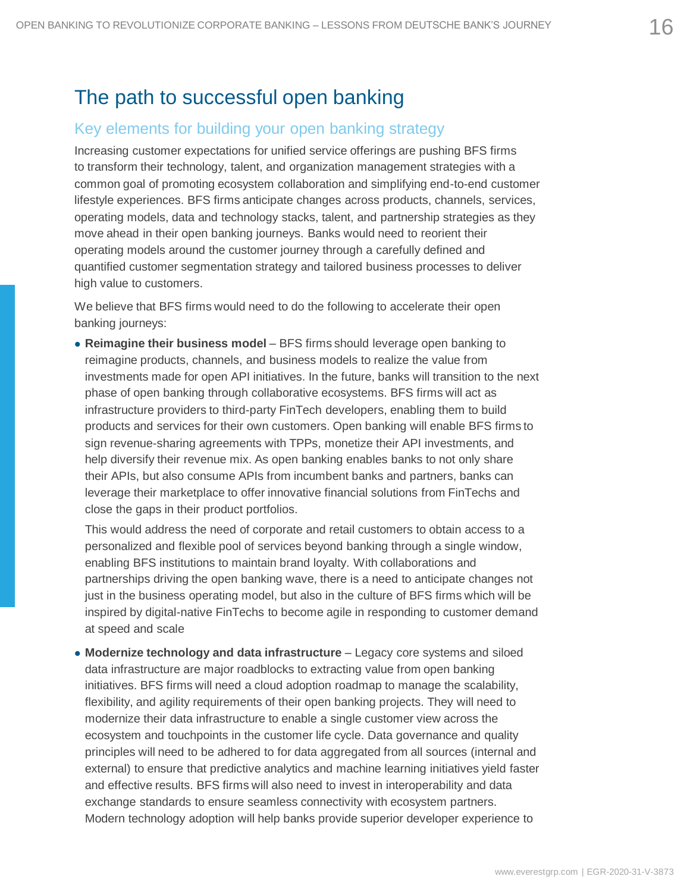## The path to successful open banking

#### Key elements for building your open banking strategy

Increasing customer expectations for unified service offerings are pushing BFS firms to transform their technology, talent, and organization management strategies with a common goal of promoting ecosystem collaboration and simplifying end-to-end customer lifestyle experiences. BFS firms anticipate changes across products, channels, services, operating models, data and technology stacks, talent, and partnership strategies as they move ahead in their open banking journeys. Banks would need to reorient their operating models around the customer journey through a carefully defined and quantified customer segmentation strategy and tailored business processes to deliver high value to customers.

We believe that BFS firms would need to do the following to accelerate their open banking journeys:

⚫ **Reimagine their business model** – BFS firms should leverage open banking to reimagine products, channels, and business models to realize the value from investments made for open API initiatives. In the future, banks will transition to the next phase of open banking through collaborative ecosystems. BFS firms will act as infrastructure providers to third-party FinTech developers, enabling them to build products and services for their own customers. Open banking will enable BFS firms to sign revenue-sharing agreements with TPPs, monetize their API investments, and help diversify their revenue mix. As open banking enables banks to not only share their APIs, but also consume APIs from incumbent banks and partners, banks can leverage their marketplace to offer innovative financial solutions from FinTechs and close the gaps in their product portfolios.

⚫ This would address the need of corporate and retail customers to obtain access to a personalized and flexible pool of services beyond banking through a single window, enabling BFS institutions to maintain brand loyalty. With collaborations and partnerships driving the open banking wave, there is a need to anticipate changes not just in the business operating model, but also in the culture of BFS firms which will be inspired by digital-native FinTechs to become agile in responding to customer demand at speed and scale

⚫ **Modernize technology and data infrastructure** – Legacy core systems and siloed data infrastructure are major roadblocks to extracting value from open banking initiatives. BFS firms will need a cloud adoption roadmap to manage the scalability, flexibility, and agility requirements of their open banking projects. They will need to modernize their data infrastructure to enable a single customer view across the ecosystem and touchpoints in the customer life cycle. Data governance and quality principles will need to be adhered to for data aggregated from all sources (internal and external) to ensure that predictive analytics and machine learning initiatives yield faster and effective results. BFS firms will also need to invest in interoperability and data exchange standards to ensure seamless connectivity with ecosystem partners. Modern technology adoption will help banks provide superior developer experience to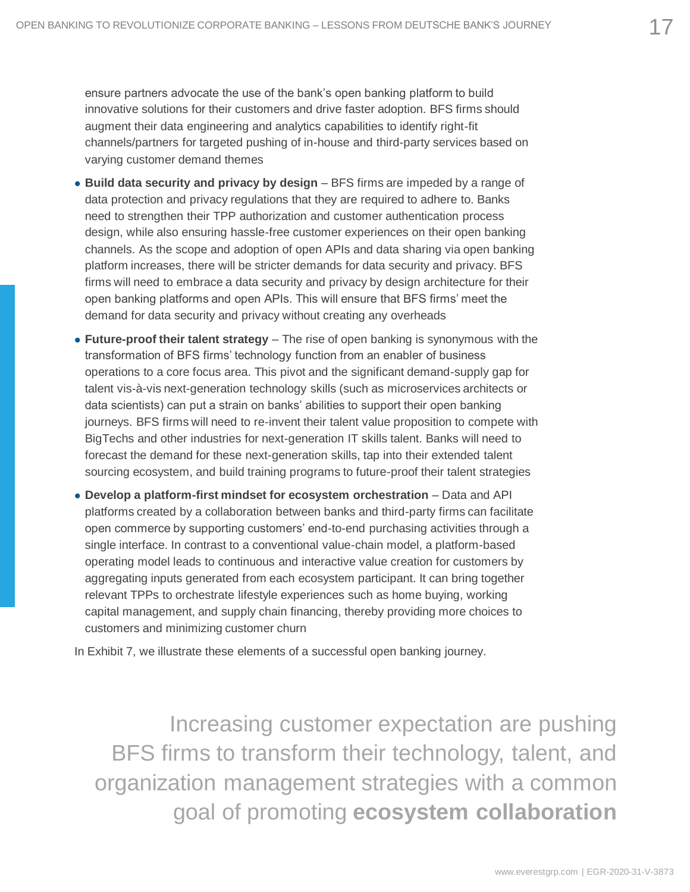⚫ ensure partners advocate the use of the bank's open banking platform to build innovative solutions for their customers and drive faster adoption. BFS firms should augment their data engineering and analytics capabilities to identify right-fit channels/partners for targeted pushing of in-house and third-party services based on varying customer demand themes

- ⚫ **Build data security and privacy by design**  BFS firms are impeded by a range of data protection and privacy regulations that they are required to adhere to. Banks need to strengthen their TPP authorization and customer authentication process design, while also ensuring hassle-free customer experiences on their open banking channels. As the scope and adoption of open APIs and data sharing via open banking platform increases, there will be stricter demands for data security and privacy. BFS firms will need to embrace a data security and privacy by design architecture for their open banking platforms and open APIs. This will ensure that BFS firms' meet the demand for data security and privacy without creating any overheads
- ⚫ **Future-proof their talent strategy**  The rise of open banking is synonymous with the transformation of BFS firms' technology function from an enabler of business operations to a core focus area. This pivot and the significant demand-supply gap for talent vis-à-vis next-generation technology skills (such as microservices architects or data scientists) can put a strain on banks' abilities to support their open banking journeys. BFS firms will need to re-invent their talent value proposition to compete with BigTechs and other industries for next-generation IT skills talent. Banks will need to forecast the demand for these next-generation skills, tap into their extended talent sourcing ecosystem, and build training programs to future-proof their talent strategies
- ⚫ **Develop a platform-first mindset for ecosystem orchestration**  Data and API platforms created by a collaboration between banks and third-party firms can facilitate open commerce by supporting customers' end-to-end purchasing activities through a single interface. In contrast to a conventional value-chain model, a platform-based operating model leads to continuous and interactive value creation for customers by aggregating inputs generated from each ecosystem participant. It can bring together relevant TPPs to orchestrate lifestyle experiences such as home buying, working capital management, and supply chain financing, thereby providing more choices to customers and minimizing customer churn

In Exhibit 7, we illustrate these elements of a successful open banking journey.

Increasing customer expectation are pushing BFS firms to transform their technology, talent, and organization management strategies with a common goal of promoting **ecosystem collaboration**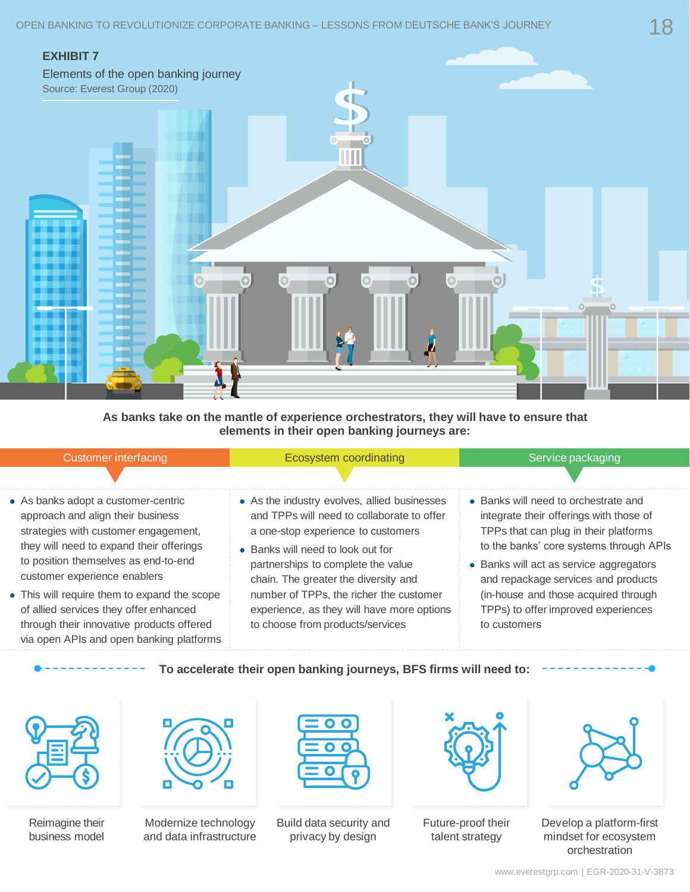

**As banks take on the mantle of experience orchestrators, they will have to ensure that elements in their open banking journeys are:**

| <b>Customer interfacing</b> |  |
|-----------------------------|--|
|                             |  |

Ecosystem coordinating Ecosystem coordinating Service packaging

- ⚫ As banks adopt a customer-centric approach and align their business strategies with customer engagement, they will need to expand their offerings to position themselves as end-to-end customer experience enablers
- ⚫ This will require them to expand the scope of allied services they offer enhanced through their innovative products offered via open APIs and open banking platforms
- ⚫ As the industry evolves, allied businesses and TPPs will need to collaborate to offer a one-stop experience to customers
- Banks will need to look out for partnerships to complete the value chain. The greater the diversity and number of TPPs, the richer the customer experience, as they will have more options to choose from products/services
- ⚫ Banks will need to orchestrate and integrate their offerings with those of TPPs that can plug in their platforms to the banks' core systems through APIs
- ⚫ Banks will act as service aggregators and repackage services and products (in-house and those acquired through TPPs) to offer improved experiences to customers

#### **To accelerate their open banking journeys, BFS firms will need to:**



Reimagine their business model



Modernize technology and data infrastructure



Build data security and privacy by design



Future-proof their talent strategy



Develop a platform-first mindset for ecosystem orchestration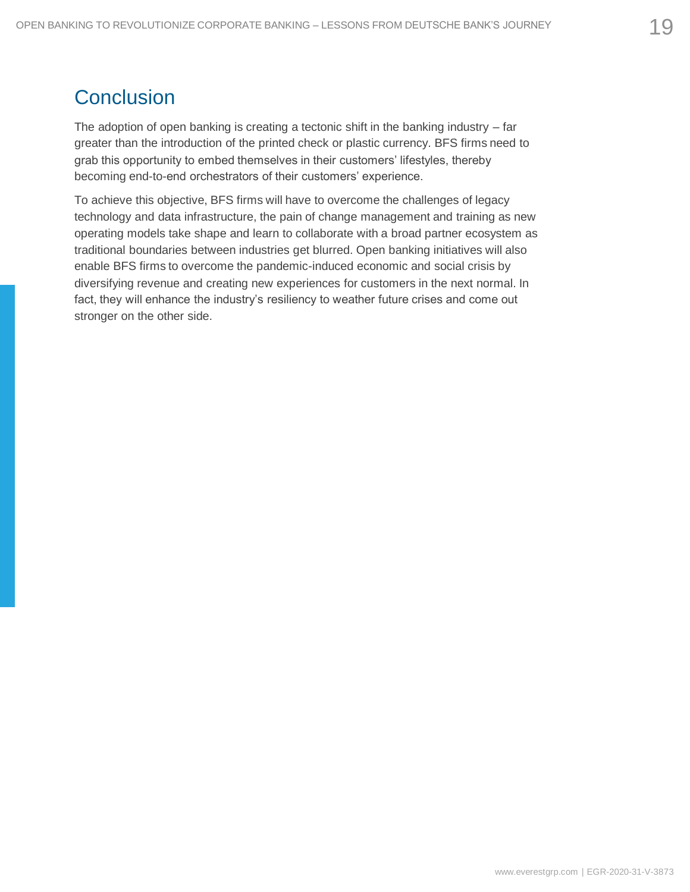## **Conclusion**

The adoption of open banking is creating a tectonic shift in the banking industry  $-$  far greater than the introduction of the printed check or plastic currency. BFS firms need to grab this opportunity to embed themselves in their customers' lifestyles, thereby becoming end-to-end orchestrators of their customers' experience.

To achieve this objective, BFS firms will have to overcome the challenges of legacy technology and data infrastructure, the pain of change management and training as new operating models take shape and learn to collaborate with a broad partner ecosystem as traditional boundaries between industries get blurred. Open banking initiatives will also enable BFS firms to overcome the pandemic-induced economic and social crisis by diversifying revenue and creating new experiences for customers in the next normal. In fact, they will enhance the industry's resiliency to weather future crises and come out stronger on the other side.